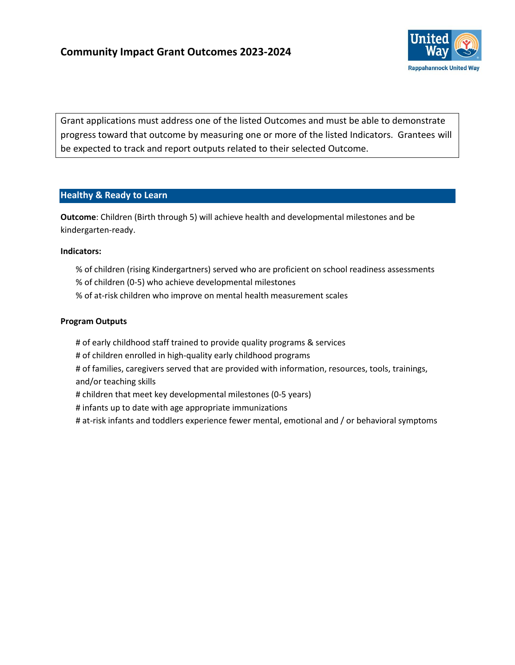

Grant applications must address one of the listed Outcomes and must be able to demonstrate progress toward that outcome by measuring one or more of the listed Indicators. Grantees will be expected to track and report outputs related to their selected Outcome.

## **Healthy & Ready to Learn**

**Outcome**: Children (Birth through 5) will achieve health and developmental milestones and be kindergarten-ready.

#### **Indicators:**

- % of children (rising Kindergartners) served who are proficient on school readiness assessments
- % of children (0-5) who achieve developmental milestones
- % of at-risk children who improve on mental health measurement scales

#### **Program Outputs**

- # of early childhood staff trained to provide quality programs & services
- # of children enrolled in high-quality early childhood programs
- # of families, caregivers served that are provided with information, resources, tools, trainings, and/or teaching skills
- # children that meet key developmental milestones (0-5 years)
- # infants up to date with age appropriate immunizations
- # at-risk infants and toddlers experience fewer mental, emotional and / or behavioral symptoms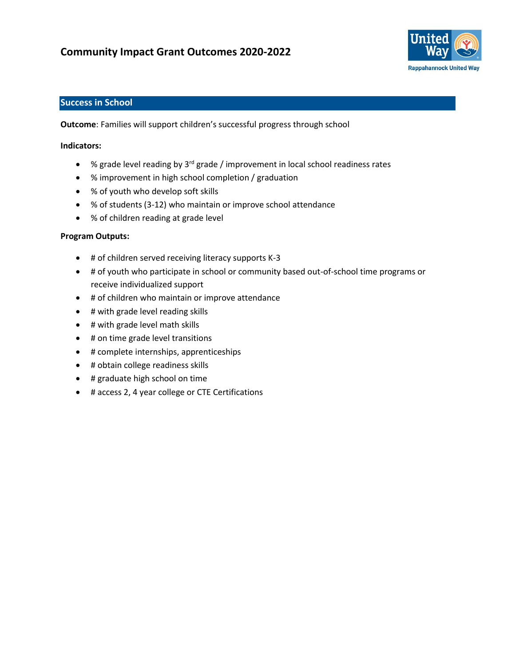# **Community Impact Grant Outcomes 2020-2022**



## **Success in School**

**Outcome**: Families will support children's successful progress through school

#### **Indicators:**

- % grade level reading by  $3^{rd}$  grade / improvement in local school readiness rates
- % improvement in high school completion / graduation
- % of youth who develop soft skills
- % of students (3-12) who maintain or improve school attendance
- % of children reading at grade level

#### **Program Outputs:**

- # of children served receiving literacy supports K-3
- # of youth who participate in school or community based out-of-school time programs or receive individualized support
- # of children who maintain or improve attendance
- # with grade level reading skills
- # with grade level math skills
- # on time grade level transitions
- # complete internships, apprenticeships
- # obtain college readiness skills
- # graduate high school on time
- # access 2, 4 year college or CTE Certifications